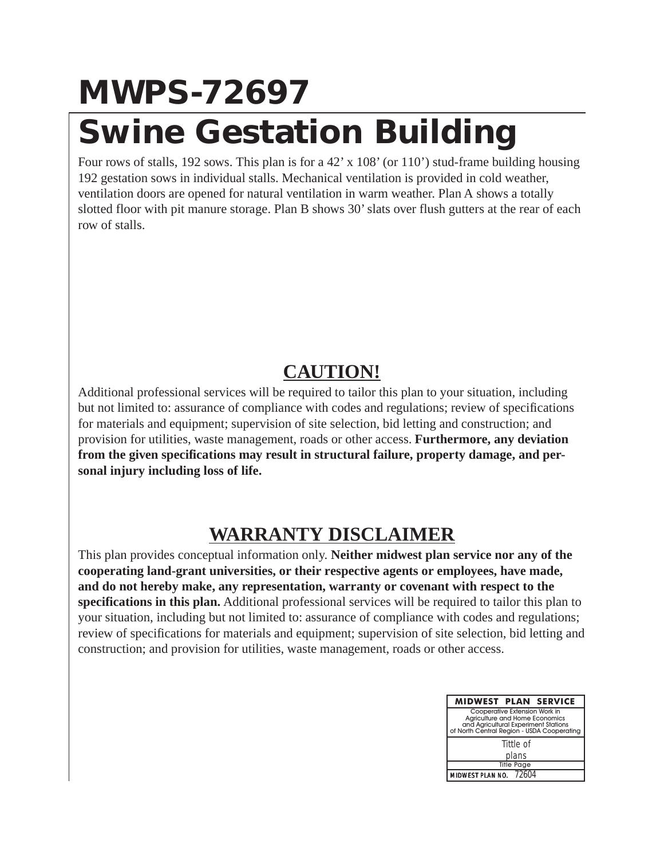## **MWPS-72697 Swine Gestation Building**

Four rows of stalls, 192 sows. This plan is for a 42' x 108' (or 110') stud-frame building housing 192 gestation sows in individual stalls. Mechanical ventilation is provided in cold weather, ventilation doors are opened for natural ventilation in warm weather. Plan A shows a totally slotted floor with pit manure storage. Plan B shows 30' slats over flush gutters at the rear of each row of stalls.

## **CAUTION!**

Additional professional services will be required to tailor this plan to your situation, including but not limited to: assurance of compliance with codes and regulations; review of specifications for materials and equipment; supervision of site selection, bid letting and construction; and provision for utilities, waste management, roads or other access. **Furthermore, any deviation from the given specifications may result in structural failure, property damage, and personal injury including loss of life.**

## **WARRANTY DISCLAIMER**

This plan provides conceptual information only. **Neither midwest plan service nor any of the cooperating land-grant universities, or their respective agents or employees, have made, and do not hereby make, any representation, warranty or covenant with respect to the specifications in this plan.** Additional professional services will be required to tailor this plan to your situation, including but not limited to: assurance of compliance with codes and regulations; review of specifications for materials and equipment; supervision of site selection, bid letting and construction; and provision for utilities, waste management, roads or other access.

| <b>MIDWEST PLAN SERVICE</b>                                                                                                                           |
|-------------------------------------------------------------------------------------------------------------------------------------------------------|
| Cooperative Extension Work in<br>Agriculture and Home Economics<br>and Agricultural Experiment Stations<br>of North Central Region - USDA Cooperating |
| Tittle of                                                                                                                                             |
| plans                                                                                                                                                 |
| <b>Title Page</b>                                                                                                                                     |
| MIDWEST PLAN NO. 72604                                                                                                                                |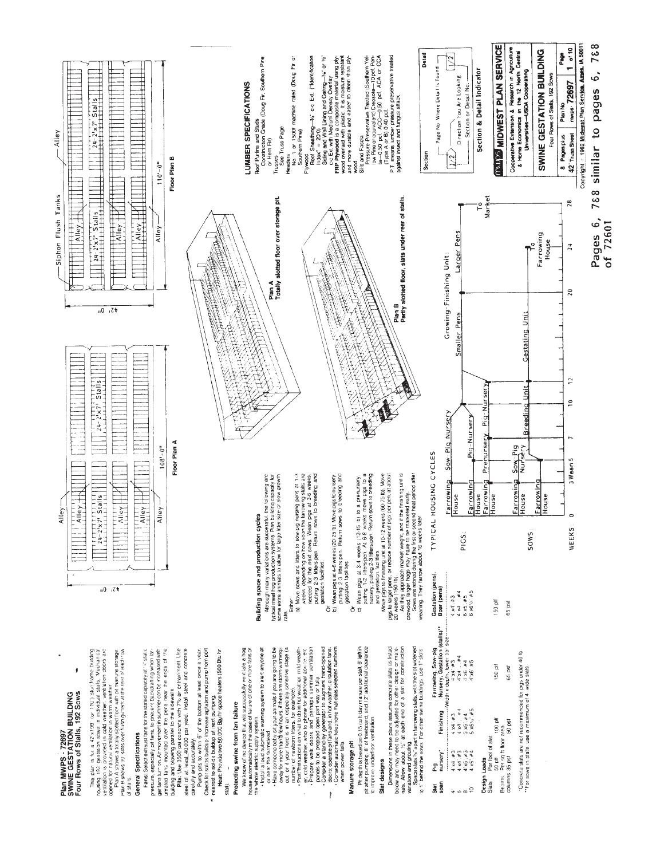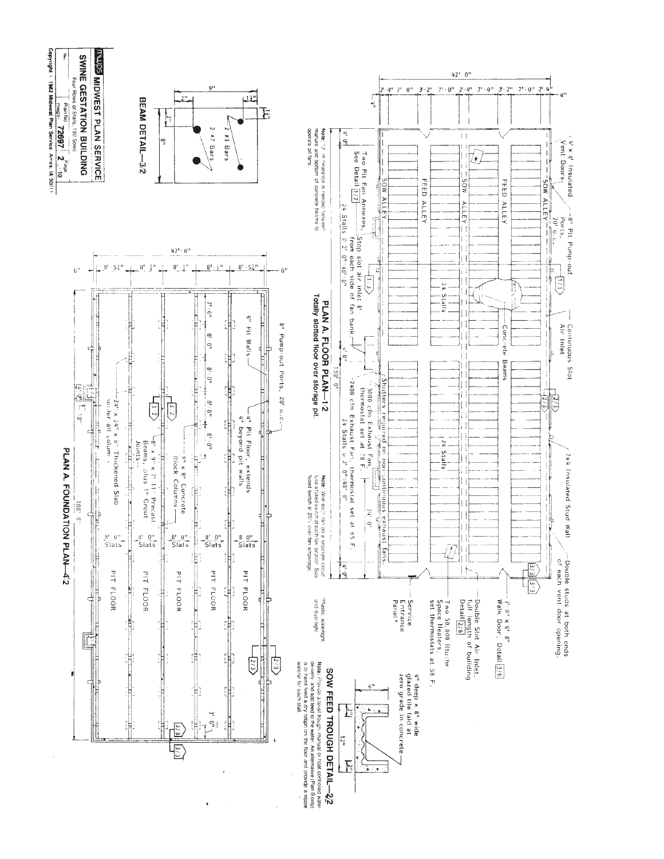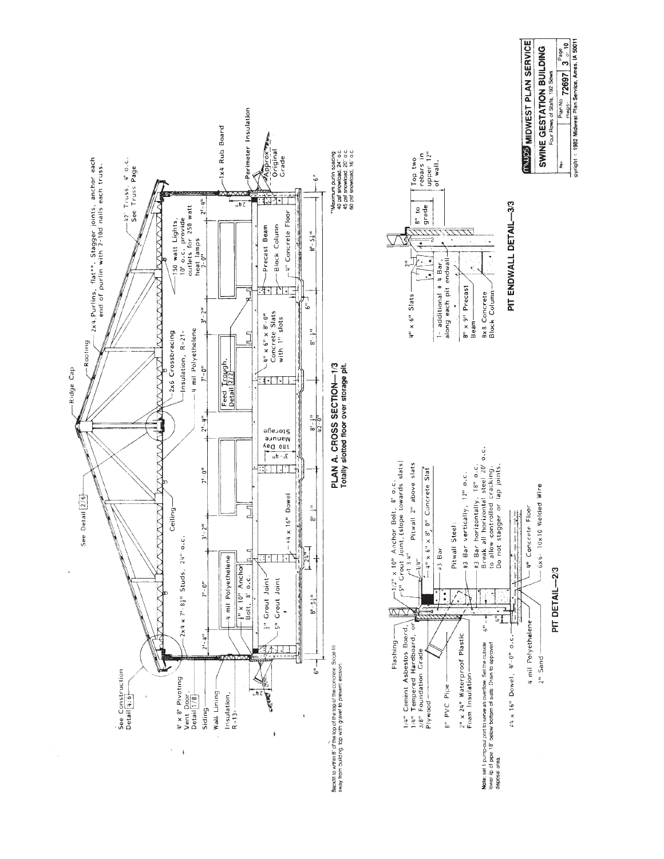





PIT DETAIL-2/3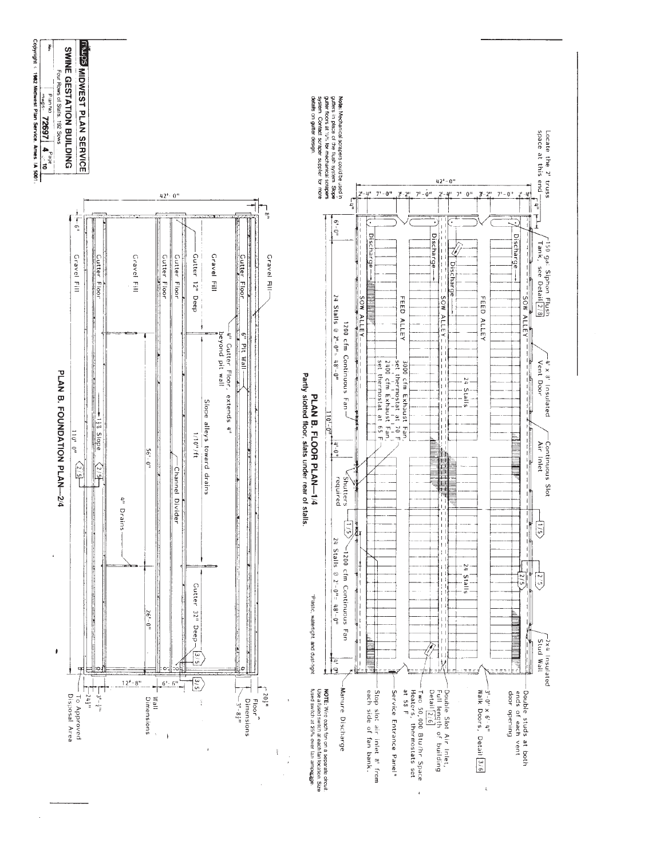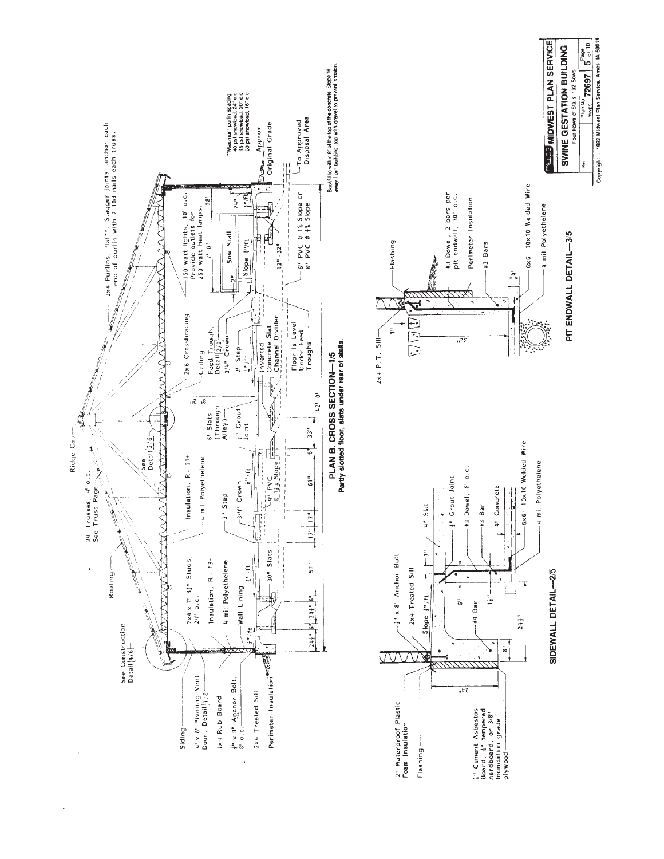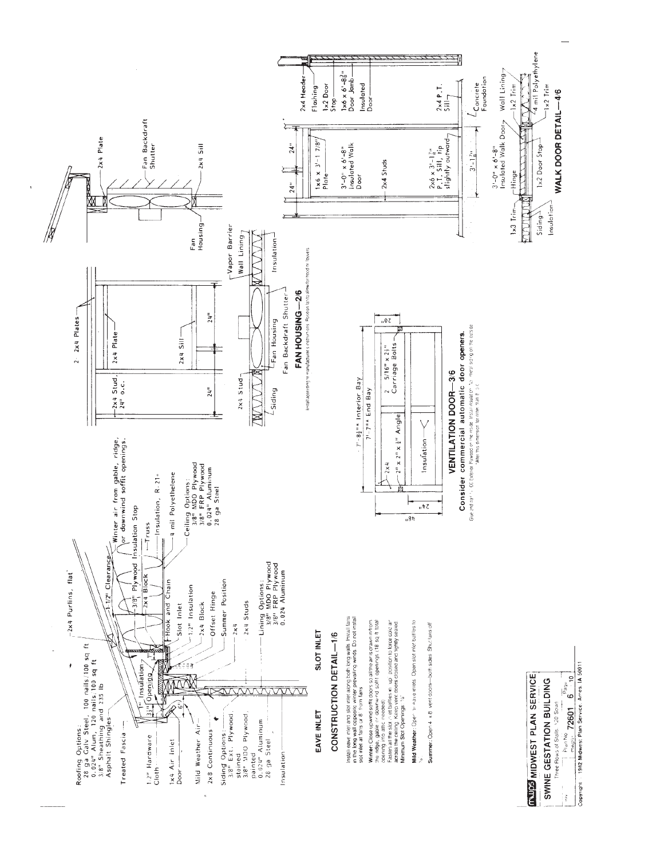

Copyright : 1982 Midwest Plan Service, Ames. IA 50011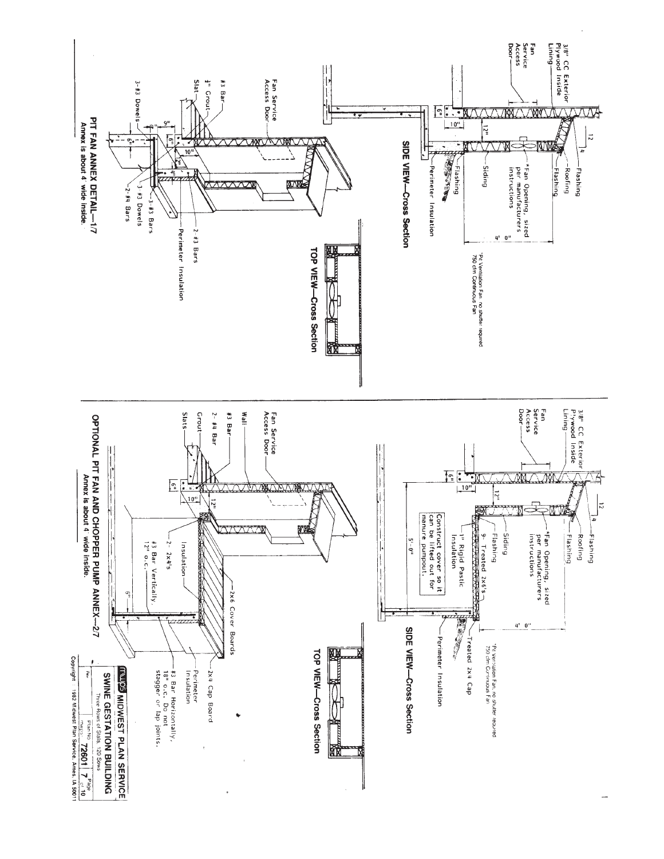